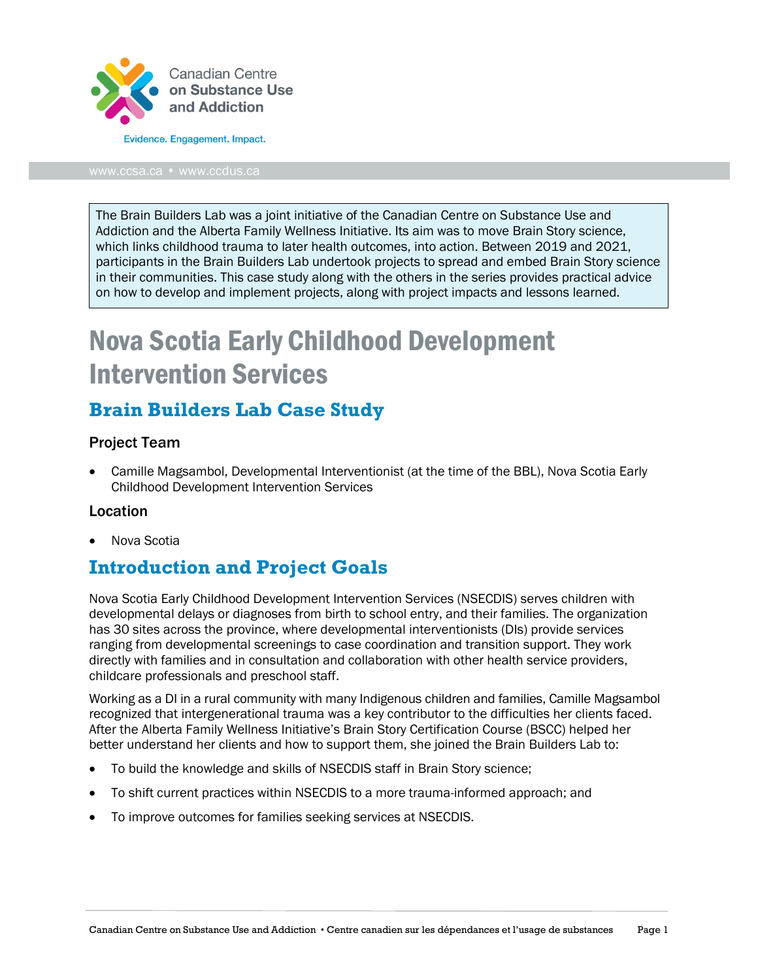

#### [www.ccsa.ca](http://www.ccsa.ca/) • www.ccdus.ca

The Brain Builders Lab was a joint initiative of the Canadian Centre on Substance Use and Addiction and the Alberta Family Wellness Initiative. Its aim was to move Brain Story science, which links childhood trauma to later health outcomes, into action. Between 2019 and 2021, participants in the Brain Builders Lab undertook projects to spread and embed Brain Story science in their communities. This case study along with the others in the series provides practical advice on how to develop and implement projects, along with project impacts and lessons learned.

# Nova Scotia Early Childhood Development Intervention Services

### **Brain Builders Lab Case Study**

### Project Team

• Camille Magsambol, Developmental Interventionist (at the time of the BBL), Nova Scotia Early Childhood Development Intervention Services

#### Location

• Nova Scotia

### **Introduction and Project Goals**

Nova Scotia Early Childhood Development Intervention Services (NSECDIS) serves children with developmental delays or diagnoses from birth to school entry, and their families. The organization has 30 sites across the province, where developmental interventionists (DIs) provide services ranging from developmental screenings to case coordination and transition support. They work directly with families and in consultation and collaboration with other health service providers, childcare professionals and preschool staff.

Working as a DI in a rural community with many Indigenous children and families, Camille Magsambol recognized that intergenerational trauma was a key contributor to the difficulties her clients faced. After the Alberta Family Wellness Initiative's Brain Story Certification Course (BSCC) helped her better understand her clients and how to support them, she joined the Brain Builders Lab to:

- To build the knowledge and skills of NSECDIS staff in Brain Story science;
- To shift current practices within NSECDIS to a more trauma-informed approach; and
- To improve outcomes for families seeking services at NSECDIS.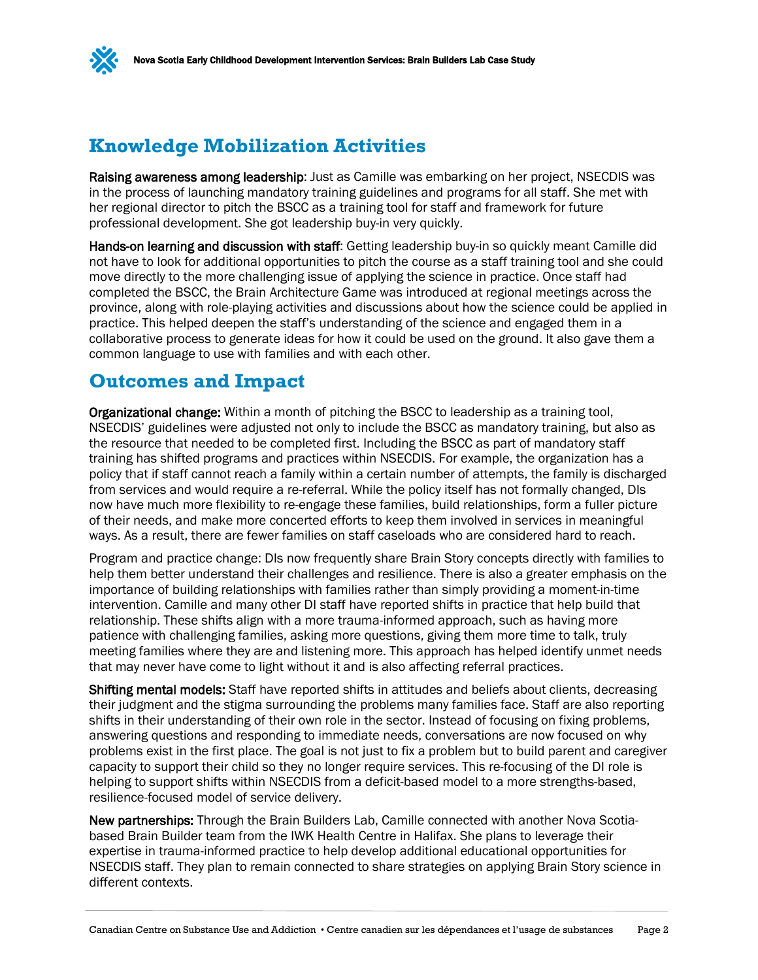

Raising awareness among leadership: Just as Camille was embarking on her project, NSECDIS was in the process of launching mandatory training guidelines and programs for all staff. She met with her regional director to pitch the BSCC as a training tool for staff and framework for future professional development. She got leadership buy-in very quickly.

Hands-on learning and discussion with staff: Getting leadership buy-in so quickly meant Camille did not have to look for additional opportunities to pitch the course as a staff training tool and she could move directly to the more challenging issue of applying the science in practice. Once staff had completed the BSCC, the Brain Architecture Game was introduced at regional meetings across the province, along with role-playing activities and discussions about how the science could be applied in practice. This helped deepen the staff's understanding of the science and engaged them in a collaborative process to generate ideas for how it could be used on the ground. It also gave them a common language to use with families and with each other.

### **Outcomes and Impact**

Organizational change: Within a month of pitching the BSCC to leadership as a training tool, NSECDIS' guidelines were adjusted not only to include the BSCC as mandatory training, but also as the resource that needed to be completed first. Including the BSCC as part of mandatory staff training has shifted programs and practices within NSECDIS. For example, the organization has a policy that if staff cannot reach a family within a certain number of attempts, the family is discharged from services and would require a re-referral. While the policy itself has not formally changed, DIs now have much more flexibility to re-engage these families, build relationships, form a fuller picture of their needs, and make more concerted efforts to keep them involved in services in meaningful ways. As a result, there are fewer families on staff caseloads who are considered hard to reach.

Program and practice change: DIs now frequently share Brain Story concepts directly with families to help them better understand their challenges and resilience. There is also a greater emphasis on the importance of building relationships with families rather than simply providing a moment-in-time intervention. Camille and many other DI staff have reported shifts in practice that help build that relationship. These shifts align with a more trauma-informed approach, such as having more patience with challenging families, asking more questions, giving them more time to talk, truly meeting families where they are and listening more. This approach has helped identify unmet needs that may never have come to light without it and is also affecting referral practices.

**Shifting mental models:** Staff have reported shifts in attitudes and beliefs about clients, decreasing their judgment and the stigma surrounding the problems many families face. Staff are also reporting shifts in their understanding of their own role in the sector. Instead of focusing on fixing problems, answering questions and responding to immediate needs, conversations are now focused on why problems exist in the first place. The goal is not just to fix a problem but to build parent and caregiver capacity to support their child so they no longer require services. This re-focusing of the DI role is helping to support shifts within NSECDIS from a deficit-based model to a more strengths-based, resilience-focused model of service delivery.

New partnerships: Through the Brain Builders Lab, Camille connected with another Nova Scotiabased Brain Builder team from the IWK Health Centre in Halifax. She plans to leverage their expertise in trauma-informed practice to help develop additional educational opportunities for NSECDIS staff. They plan to remain connected to share strategies on applying Brain Story science in different contexts.